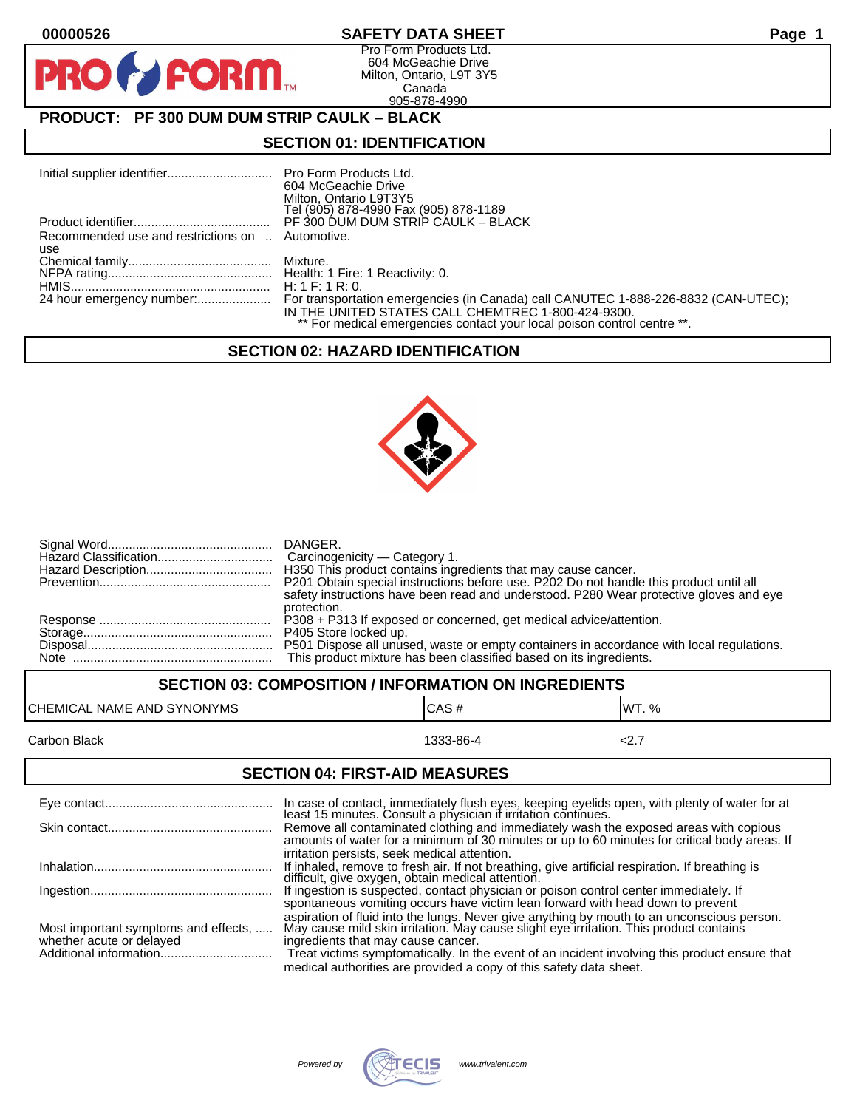$\mathbf O$ 

PR

# **00000526 SAFETY DATA SHEET Page 1**

Pro Form Products Ltd. 604 McGeachie Drive Milton, Ontario, L9T 3Y5 Canada 905-878-4990

# **PRODUCT: PF 300 DUM DUM STRIP CAULK – BLACK**

**FORM.** 

## **SECTION 01: IDENTIFICATION**

|                                                  | 604 McGeachie Drive                                                     |
|--------------------------------------------------|-------------------------------------------------------------------------|
|                                                  | Milton, Ontario L9T3Y5                                                  |
|                                                  | Tel (905) 878-4990 Fax (905) 878-1189                                   |
|                                                  | PF 300 DUM DUM STRIP CAULK - BLACK                                      |
| Recommended use and restrictions on  Automotive. |                                                                         |
| use                                              |                                                                         |
|                                                  |                                                                         |
|                                                  |                                                                         |
|                                                  | H: 1 F: 1 R: 0.                                                         |
|                                                  |                                                                         |
|                                                  | IN THE UNITED STATES CALL CHEMTREC 1-800-424-9300.                      |
|                                                  | ** For medical emergencies contact your local poison control centre **. |

### **SECTION 02: HAZARD IDENTIFICATION**



| H350 This product contains ingredients that may cause cancer.                            |
|------------------------------------------------------------------------------------------|
| P201 Obtain special instructions before use. P202 Do not handle this product until all   |
| safety instructions have been read and understood. P280 Wear protective gloves and eye   |
| protection.                                                                              |
|                                                                                          |
| P501 Dispose all unused, waste or empty containers in accordance with local regulations. |
| This product mixture has been classified based on its ingredients.                       |

## **SECTION 03: COMPOSITION / INFORMATION ON INGREDIENTS**

| CHEMICAL NAME AND SYNONYMS | ICAS#     | <b>WT.</b> % |
|----------------------------|-----------|--------------|
| Carbon Black               | 1333-86-4 | .            |

#### **SECTION 04: FIRST-AID MEASURES**

|                                                                  | In case of contact, immediately flush eyes, keeping eyelids open, with plenty of water for at least 15 minutes. Consult a physician if irritation continues.                                                               |
|------------------------------------------------------------------|----------------------------------------------------------------------------------------------------------------------------------------------------------------------------------------------------------------------------|
|                                                                  | Remove all contaminated clothing and immediately wash the exposed areas with copious<br>amounts of water for a minimum of 30 minutes or up to 60 minutes for critical body areas. If                                       |
|                                                                  | irritation persists, seek medical attention.                                                                                                                                                                               |
|                                                                  | If inhaled, remove to fresh air. If not breathing, give artificial respiration. If breathing is<br>difficult, give oxygen, obtain medical attention.                                                                       |
|                                                                  | If ingestion is suspected, contact physician or poison control center immediately. If                                                                                                                                      |
|                                                                  | spontaneous vomiting occurs have victim lean forward with head down to prevent                                                                                                                                             |
| Most important symptoms and effects,<br>whether acute or delayed | aspiration of fluid into the lungs. Never give anything by mouth to an unconscious person.<br>May cause mild skin irritation. May cause slight eye irritation. This product contains<br>ingredients that may cause cancer. |
|                                                                  | Treat victims symptomatically. In the event of an incident involving this product ensure that                                                                                                                              |
|                                                                  | medical authorities are provided a copy of this safety data sheet.                                                                                                                                                         |

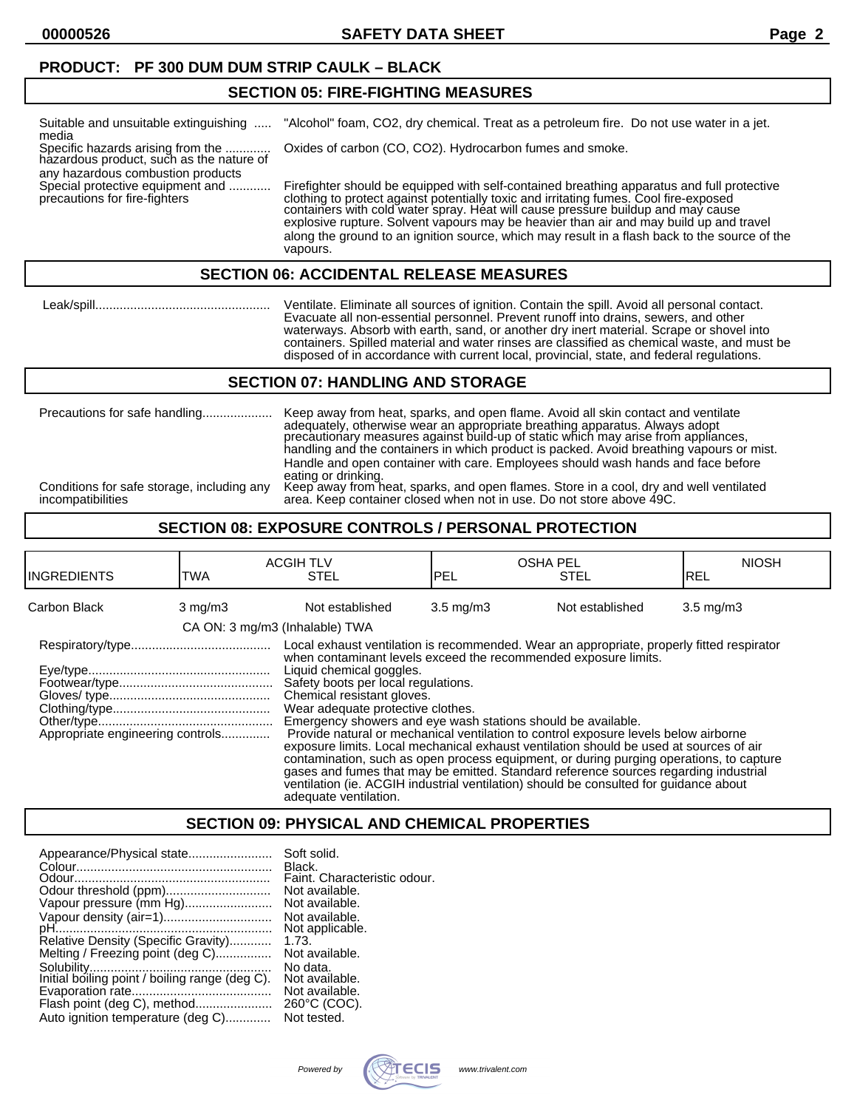**00000526 SAFETY DATA SHEET Page 2**

## **PRODUCT: PF 300 DUM DUM STRIP CAULK – BLACK**

## **SECTION 05: FIRE-FIGHTING MEASURES**

| Suitable and unsuitable extinguishing<br>media                                                         | "Alcohol" foam, CO2, dry chemical. Treat as a petroleum fire. Do not use water in a jet.                                                                                                                                                                                                                                                                                                                                                                                       |
|--------------------------------------------------------------------------------------------------------|--------------------------------------------------------------------------------------------------------------------------------------------------------------------------------------------------------------------------------------------------------------------------------------------------------------------------------------------------------------------------------------------------------------------------------------------------------------------------------|
| Specific hazards arising from the<br>hazardous product, such as the nature of                          | Oxides of carbon (CO, CO2). Hydrocarbon fumes and smoke.                                                                                                                                                                                                                                                                                                                                                                                                                       |
| any hazardous combustion products<br>Special protective equipment and<br>precautions for fire-fighters | Firefighter should be equipped with self-contained breathing apparatus and full protective<br>clothing to protect against potentially toxic and irritating fumes. Cool fire-exposed<br>containers with cold water spray. Heat will cause pressure buildup and may cause<br>explosive rupture. Solvent vapours may be heavier than air and may build up and travel<br>along the ground to an ignition source, which may result in a flash back to the source of the<br>vapours. |

## **SECTION 06: ACCIDENTAL RELEASE MEASURES**

 Leak/spill.................................................. Ventilate. Eliminate all sources of ignition. Contain the spill. Avoid all personal contact. Evacuate all non-essential personnel. Prevent runoff into drains, sewers, and other waterways. Absorb with earth, sand, or another dry inert material. Scrape or shovel into containers. Spilled material and water rinses are classified as chemical waste, and must be disposed of in accordance with current local, provincial, state, and federal regulations.

#### **SECTION 07: HANDLING AND STORAGE**

|                                                                 | adequately, otherwise wear an appropriate breathing apparatus. Always adopt<br>precautionary measures against build-up of static which may arise from appliances,<br>handling and the containers in which product is packed. Avoid breathing vapours or mist.<br>Handle and open container with care. Employees should wash hands and face before |
|-----------------------------------------------------------------|---------------------------------------------------------------------------------------------------------------------------------------------------------------------------------------------------------------------------------------------------------------------------------------------------------------------------------------------------|
| Conditions for safe storage, including any<br>incompatibilities | eating or drinking.<br>Keep away from heat, sparks, and open flames. Store in a cool, dry and well ventilated<br>area. Keep container closed when not in use. Do not store above 49C.                                                                                                                                                             |

## **SECTION 08: EXPOSURE CONTROLS / PERSONAL PROTECTION**

| <b>INGREDIENTS</b>               | TWA                            | <b>ACGIH TLV</b><br><b>STEL</b>                                                                                                                                                                                                                                                                                                                                                                                                                                                                                                                                                                                                                                                                                                                                                                                                                          | <b>OSHA PEL</b><br>IPEL | <b>STEL</b>     | <b>NIOSH</b><br>IREL |
|----------------------------------|--------------------------------|----------------------------------------------------------------------------------------------------------------------------------------------------------------------------------------------------------------------------------------------------------------------------------------------------------------------------------------------------------------------------------------------------------------------------------------------------------------------------------------------------------------------------------------------------------------------------------------------------------------------------------------------------------------------------------------------------------------------------------------------------------------------------------------------------------------------------------------------------------|-------------------------|-----------------|----------------------|
| Carbon Black                     | $3 \text{ mg/m}$               | Not established                                                                                                                                                                                                                                                                                                                                                                                                                                                                                                                                                                                                                                                                                                                                                                                                                                          | $3.5 \text{ mg/m}$      | Not established | $3.5 \text{ mg/m}$   |
|                                  | CA ON: 3 mg/m3 (Inhalable) TWA |                                                                                                                                                                                                                                                                                                                                                                                                                                                                                                                                                                                                                                                                                                                                                                                                                                                          |                         |                 |                      |
| Appropriate engineering controls |                                | Local exhaust ventilation is recommended. Wear an appropriate, properly fitted respirator<br>when contaminant levels exceed the recommended exposure limits.<br>Liquid chemical goggles.<br>Safety boots per local regulations.<br>Chemical resistant gloves.<br>Wear adequate protective clothes.<br>Emergency showers and eye wash stations should be available.<br>Provide natural or mechanical ventilation to control exposure levels below airborne<br>exposure limits. Local mechanical exhaust ventilation should be used at sources of air<br>contamination, such as open process equipment, or during purging operations, to capture<br>gases and fumes that may be emitted. Standard reference sources regarding industrial<br>ventilation (ie. ACGIH industrial ventilation) should be consulted for guidance about<br>adequate ventilation. |                         |                 |                      |

## **SECTION 09: PHYSICAL AND CHEMICAL PROPERTIES**

| Appearance/Physical state                      | Soft solid.<br>Black.        |
|------------------------------------------------|------------------------------|
|                                                | Faint. Characteristic odour. |
|                                                | Not available.               |
| Vapour pressure (mm Hg)                        | Not available.               |
| Vapour density (air=1)                         | Not available.               |
|                                                | Not applicable.              |
| Relative Density (Specific Gravity)            | 1.73.                        |
| Melting / Freezing point (deg C)               | Not available.               |
|                                                | No data.                     |
| Initial boiling point / boiling range (deg C). | Not available.               |
|                                                | Not available.               |
| Flash point (deg C), method                    | 260°C (COC).                 |
| Auto ignition temperature (deg C)              | Not tested.                  |

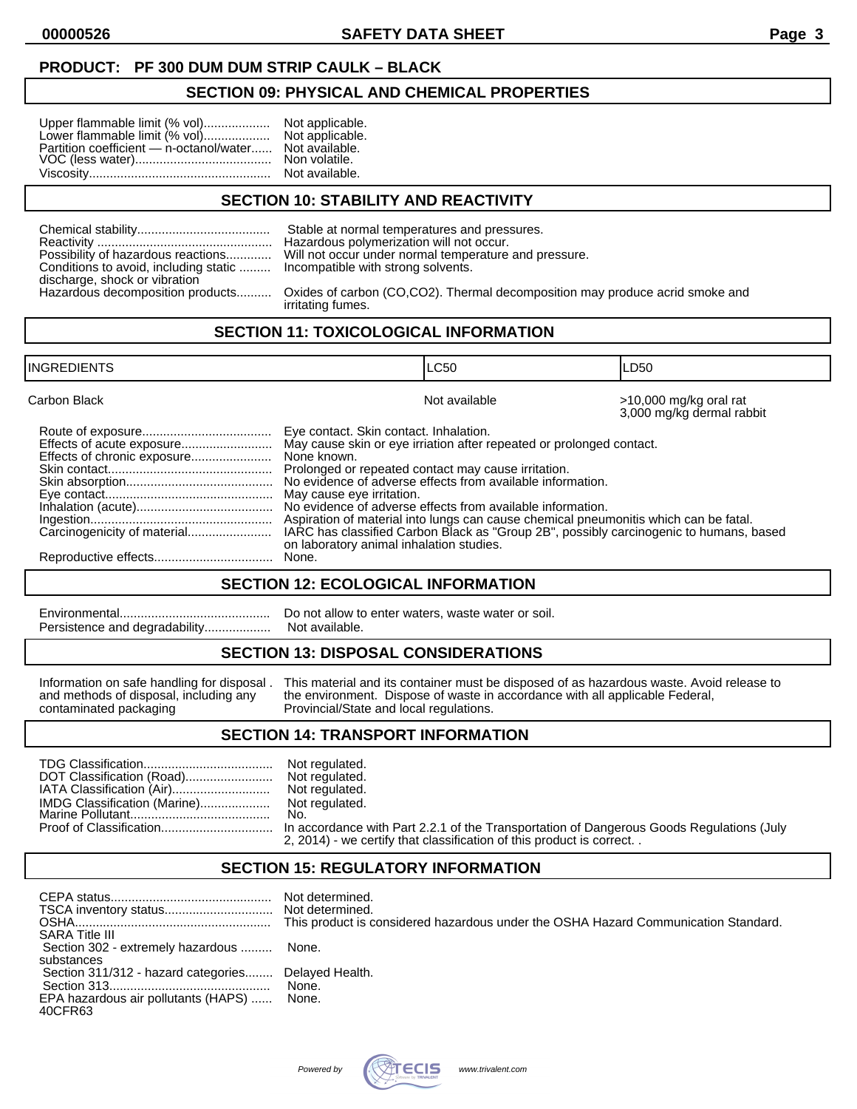## **PRODUCT: PF 300 DUM DUM STRIP CAULK – BLACK**

## **SECTION 09: PHYSICAL AND CHEMICAL PROPERTIES**

| Upper flammable limit (% vol)           | Not applicable. |
|-----------------------------------------|-----------------|
| Lower flammable limit (% vol)           | Not applicable. |
| Partition coefficient - n-octanol/water | Not available.  |
|                                         | Non volatile.   |
|                                         | Not available.  |

## **SECTION 10: STABILITY AND REACTIVITY**

| Possibility of hazardous reactions    |
|---------------------------------------|
| Conditions to avoid, including static |
| discharge, shock or vibration         |
| Hazardous decomposition products      |

Stable at normal temperatures and pressures. Hazardous polymerization will not occur. Will not occur under normal temperature and pressure. Incompatible with strong solvents.

Oxides of carbon (CO,CO2). Thermal decomposition may produce acrid smoke and irritating fumes.

## **SECTION 11: TOXICOLOGICAL INFORMATION**

| <b>INGREDIENTS</b> | ILC50                                                                                                                                                                                                                                                                                                                                                                                                                                                                                                                                                                                | ILD50                                               |
|--------------------|--------------------------------------------------------------------------------------------------------------------------------------------------------------------------------------------------------------------------------------------------------------------------------------------------------------------------------------------------------------------------------------------------------------------------------------------------------------------------------------------------------------------------------------------------------------------------------------|-----------------------------------------------------|
| Carbon Black       | Not available                                                                                                                                                                                                                                                                                                                                                                                                                                                                                                                                                                        | >10,000 mg/kg oral rat<br>3,000 mg/kg dermal rabbit |
|                    | Eye contact. Skin contact. Inhalation.<br>May cause skin or eye irriation after repeated or prolonged contact.<br>None known.<br>Prolonged or repeated contact may cause irritation.<br>No evidence of adverse effects from available information.<br>May cause eye irritation.<br>No evidence of adverse effects from available information.<br>Aspiration of material into lungs can cause chemical pneumonitis which can be fatal.<br>IARC has classified Carbon Black as "Group 2B", possibly carcinogenic to humans, based<br>on laboratory animal inhalation studies.<br>None. |                                                     |

#### **SECTION 12: ECOLOGICAL INFORMATION**

| Persistence and degradability |
|-------------------------------|

Do not allow to enter waters, waste water or soil. Not available.

### **SECTION 13: DISPOSAL CONSIDERATIONS**

| Information on safe handling for disposal. | This material and its container must be disposed of as hazardous waste. Avoid release to |
|--------------------------------------------|------------------------------------------------------------------------------------------|
| and methods of disposal, including any     | the environment. Dispose of waste in accordance with all applicable Federal,             |
| contaminated packaging                     | Provincial/State and local regulations.                                                  |

#### **SECTION 14: TRANSPORT INFORMATION**

| No.<br>2, 2014) - we certify that classification of this product is correct |
|-----------------------------------------------------------------------------|
|                                                                             |

### **SECTION 15: REGULATORY INFORMATION**

|                                                     | Not determined.<br>This product is considered hazardous under the OSHA Hazard Communication Standard. |
|-----------------------------------------------------|-------------------------------------------------------------------------------------------------------|
| <b>SARA Title III</b>                               |                                                                                                       |
| Section 302 - extremely hazardous                   | None.                                                                                                 |
| substances                                          |                                                                                                       |
| Section 311/312 - hazard categories Delayed Health. |                                                                                                       |
|                                                     |                                                                                                       |
| EPA hazardous air pollutants (HAPS)<br>40CFR63      | None.                                                                                                 |